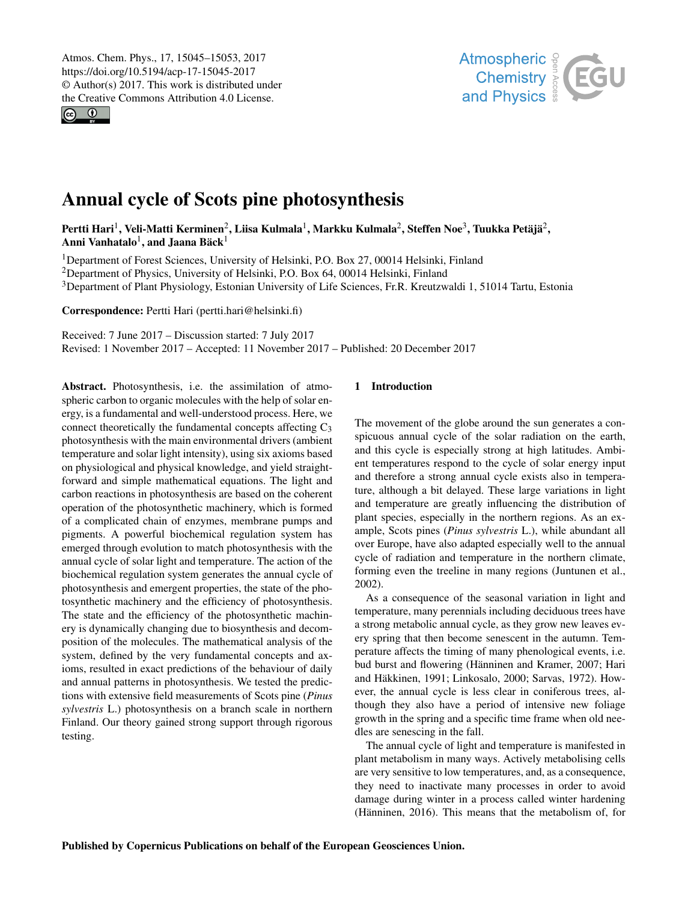<span id="page-0-1"></span> $\circ$   $\circ$ 



# Annual cycle of Scots pine photosynthesis

Pertti Hari<sup>[1](#page-0-0)</sup>, Veli-Matti Kerminen<sup>[2](#page-0-0)</sup>, Liisa Kulmala<sup>1</sup>, Markku Kulmala<sup>2</sup>, Steffen Noe<sup>[3](#page-0-0)</sup>, Tuukka Petäjä<sup>2</sup>, Anni Vanhatalo $^1$  $^1$ , and Jaana Bäck $^1$ 

<sup>1</sup>Department of Forest Sciences, University of Helsinki, P.O. Box 27, 00014 Helsinki, Finland

<sup>2</sup>Department of Physics, University of Helsinki, P.O. Box 64, 00014 Helsinki, Finland

<sup>3</sup>Department of Plant Physiology, Estonian University of Life Sciences, Fr.R. Kreutzwaldi 1, 51014 Tartu, Estonia

Correspondence: Pertti Hari (pertti.hari@helsinki.fi)

Received: 7 June 2017 – Discussion started: 7 July 2017 Revised: 1 November 2017 – Accepted: 11 November 2017 – Published: 20 December 2017

<span id="page-0-0"></span>Abstract. Photosynthesis, i.e. the assimilation of atmospheric carbon to organic molecules with the help of solar energy, is a fundamental and well-understood process. Here, we connect theoretically the fundamental concepts affecting  $C_3$ photosynthesis with the main environmental drivers (ambient temperature and solar light intensity), using six axioms based on physiological and physical knowledge, and yield straightforward and simple mathematical equations. The light and carbon reactions in photosynthesis are based on the coherent operation of the photosynthetic machinery, which is formed of a complicated chain of enzymes, membrane pumps and pigments. A powerful biochemical regulation system has emerged through evolution to match photosynthesis with the annual cycle of solar light and temperature. The action of the biochemical regulation system generates the annual cycle of photosynthesis and emergent properties, the state of the photosynthetic machinery and the efficiency of photosynthesis. The state and the efficiency of the photosynthetic machinery is dynamically changing due to biosynthesis and decomposition of the molecules. The mathematical analysis of the system, defined by the very fundamental concepts and axioms, resulted in exact predictions of the behaviour of daily and annual patterns in photosynthesis. We tested the predictions with extensive field measurements of Scots pine (*Pinus sylvestris* L.) photosynthesis on a branch scale in northern Finland. Our theory gained strong support through rigorous testing.

## 1 Introduction

The movement of the globe around the sun generates a conspicuous annual cycle of the solar radiation on the earth, and this cycle is especially strong at high latitudes. Ambient temperatures respond to the cycle of solar energy input and therefore a strong annual cycle exists also in temperature, although a bit delayed. These large variations in light and temperature are greatly influencing the distribution of plant species, especially in the northern regions. As an example, Scots pines (*Pinus sylvestris* L.), while abundant all over Europe, have also adapted especially well to the annual cycle of radiation and temperature in the northern climate, forming even the treeline in many regions (Juntunen et al., 2002).

As a consequence of the seasonal variation in light and temperature, many perennials including deciduous trees have a strong metabolic annual cycle, as they grow new leaves every spring that then become senescent in the autumn. Temperature affects the timing of many phenological events, i.e. bud burst and flowering (Hänninen and Kramer, 2007; Hari and Häkkinen, 1991; Linkosalo, 2000; Sarvas, 1972). However, the annual cycle is less clear in coniferous trees, although they also have a period of intensive new foliage growth in the spring and a specific time frame when old needles are senescing in the fall.

The annual cycle of light and temperature is manifested in plant metabolism in many ways. Actively metabolising cells are very sensitive to low temperatures, and, as a consequence, they need to inactivate many processes in order to avoid damage during winter in a process called winter hardening (Hänninen, 2016). This means that the metabolism of, for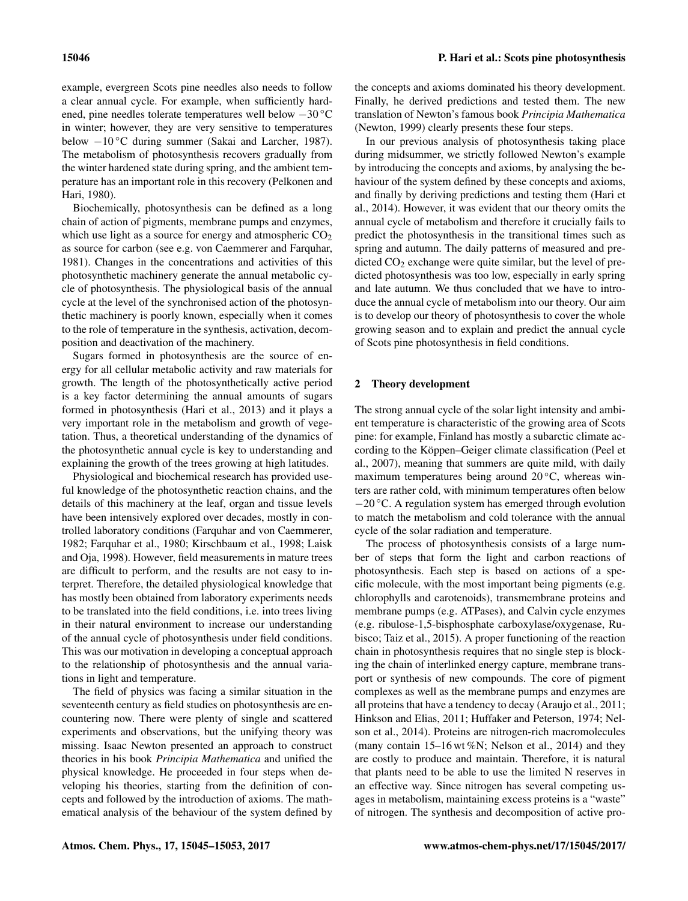example, evergreen Scots pine needles also needs to follow a clear annual cycle. For example, when sufficiently hardened, pine needles tolerate temperatures well below −30 ◦C in winter; however, they are very sensitive to temperatures below −10 ◦C during summer (Sakai and Larcher, 1987). The metabolism of photosynthesis recovers gradually from the winter hardened state during spring, and the ambient temperature has an important role in this recovery (Pelkonen and Hari, 1980).

Biochemically, photosynthesis can be defined as a long chain of action of pigments, membrane pumps and enzymes, which use light as a source for energy and atmospheric  $CO<sub>2</sub>$ as source for carbon (see e.g. von Caemmerer and Farquhar, 1981). Changes in the concentrations and activities of this photosynthetic machinery generate the annual metabolic cycle of photosynthesis. The physiological basis of the annual cycle at the level of the synchronised action of the photosynthetic machinery is poorly known, especially when it comes to the role of temperature in the synthesis, activation, decomposition and deactivation of the machinery.

Sugars formed in photosynthesis are the source of energy for all cellular metabolic activity and raw materials for growth. The length of the photosynthetically active period is a key factor determining the annual amounts of sugars formed in photosynthesis (Hari et al., 2013) and it plays a very important role in the metabolism and growth of vegetation. Thus, a theoretical understanding of the dynamics of the photosynthetic annual cycle is key to understanding and explaining the growth of the trees growing at high latitudes.

Physiological and biochemical research has provided useful knowledge of the photosynthetic reaction chains, and the details of this machinery at the leaf, organ and tissue levels have been intensively explored over decades, mostly in controlled laboratory conditions (Farquhar and von Caemmerer, 1982; Farquhar et al., 1980; Kirschbaum et al., 1998; Laisk and Oja, 1998). However, field measurements in mature trees are difficult to perform, and the results are not easy to interpret. Therefore, the detailed physiological knowledge that has mostly been obtained from laboratory experiments needs to be translated into the field conditions, i.e. into trees living in their natural environment to increase our understanding of the annual cycle of photosynthesis under field conditions. This was our motivation in developing a conceptual approach to the relationship of photosynthesis and the annual variations in light and temperature.

The field of physics was facing a similar situation in the seventeenth century as field studies on photosynthesis are encountering now. There were plenty of single and scattered experiments and observations, but the unifying theory was missing. Isaac Newton presented an approach to construct theories in his book *Principia Mathematica* and unified the physical knowledge. He proceeded in four steps when developing his theories, starting from the definition of concepts and followed by the introduction of axioms. The mathematical analysis of the behaviour of the system defined by the concepts and axioms dominated his theory development. Finally, he derived predictions and tested them. The new translation of Newton's famous book *Principia Mathematica* (Newton, 1999) clearly presents these four steps.

In our previous analysis of photosynthesis taking place during midsummer, we strictly followed Newton's example by introducing the concepts and axioms, by analysing the behaviour of the system defined by these concepts and axioms, and finally by deriving predictions and testing them (Hari et al., 2014). However, it was evident that our theory omits the annual cycle of metabolism and therefore it crucially fails to predict the photosynthesis in the transitional times such as spring and autumn. The daily patterns of measured and predicted  $CO<sub>2</sub>$  exchange were quite similar, but the level of predicted photosynthesis was too low, especially in early spring and late autumn. We thus concluded that we have to introduce the annual cycle of metabolism into our theory. Our aim is to develop our theory of photosynthesis to cover the whole growing season and to explain and predict the annual cycle of Scots pine photosynthesis in field conditions.

## 2 Theory development

The strong annual cycle of the solar light intensity and ambient temperature is characteristic of the growing area of Scots pine: for example, Finland has mostly a subarctic climate according to the Köppen–Geiger climate classification (Peel et al., 2007), meaning that summers are quite mild, with daily maximum temperatures being around  $20^{\circ}$ C, whereas winters are rather cold, with minimum temperatures often below −20 ◦C. A regulation system has emerged through evolution to match the metabolism and cold tolerance with the annual cycle of the solar radiation and temperature.

The process of photosynthesis consists of a large number of steps that form the light and carbon reactions of photosynthesis. Each step is based on actions of a specific molecule, with the most important being pigments (e.g. chlorophylls and carotenoids), transmembrane proteins and membrane pumps (e.g. ATPases), and Calvin cycle enzymes (e.g. ribulose-1,5-bisphosphate carboxylase/oxygenase, Rubisco; Taiz et al., 2015). A proper functioning of the reaction chain in photosynthesis requires that no single step is blocking the chain of interlinked energy capture, membrane transport or synthesis of new compounds. The core of pigment complexes as well as the membrane pumps and enzymes are all proteins that have a tendency to decay (Araujo et al., 2011; Hinkson and Elias, 2011; Huffaker and Peterson, 1974; Nelson et al., 2014). Proteins are nitrogen-rich macromolecules (many contain 15–16 wt %N; Nelson et al., 2014) and they are costly to produce and maintain. Therefore, it is natural that plants need to be able to use the limited N reserves in an effective way. Since nitrogen has several competing usages in metabolism, maintaining excess proteins is a "waste" of nitrogen. The synthesis and decomposition of active pro-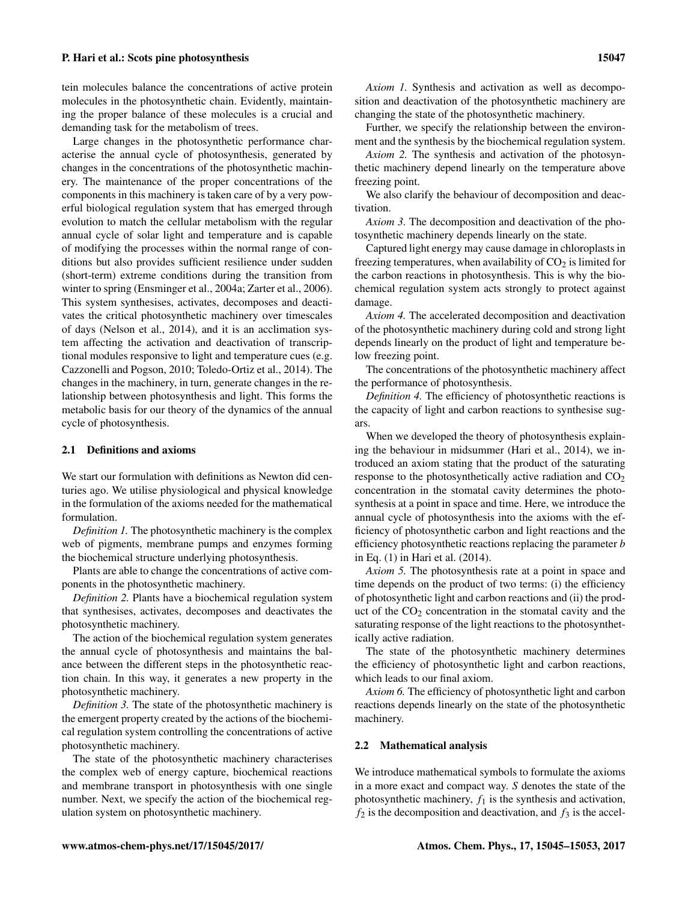#### P. Hari et al.: Scots pine photosynthesis 15047

tein molecules balance the concentrations of active protein molecules in the photosynthetic chain. Evidently, maintaining the proper balance of these molecules is a crucial and demanding task for the metabolism of trees.

Large changes in the photosynthetic performance characterise the annual cycle of photosynthesis, generated by changes in the concentrations of the photosynthetic machinery. The maintenance of the proper concentrations of the components in this machinery is taken care of by a very powerful biological regulation system that has emerged through evolution to match the cellular metabolism with the regular annual cycle of solar light and temperature and is capable of modifying the processes within the normal range of conditions but also provides sufficient resilience under sudden (short-term) extreme conditions during the transition from winter to spring (Ensminger et al., 2004a; Zarter et al., 2006). This system synthesises, activates, decomposes and deactivates the critical photosynthetic machinery over timescales of days (Nelson et al., 2014), and it is an acclimation system affecting the activation and deactivation of transcriptional modules responsive to light and temperature cues (e.g. Cazzonelli and Pogson, 2010; Toledo-Ortiz et al., 2014). The changes in the machinery, in turn, generate changes in the relationship between photosynthesis and light. This forms the metabolic basis for our theory of the dynamics of the annual cycle of photosynthesis.

#### 2.1 Definitions and axioms

We start our formulation with definitions as Newton did centuries ago. We utilise physiological and physical knowledge in the formulation of the axioms needed for the mathematical formulation.

*Definition 1.* The photosynthetic machinery is the complex web of pigments, membrane pumps and enzymes forming the biochemical structure underlying photosynthesis.

Plants are able to change the concentrations of active components in the photosynthetic machinery.

*Definition 2.* Plants have a biochemical regulation system that synthesises, activates, decomposes and deactivates the photosynthetic machinery.

The action of the biochemical regulation system generates the annual cycle of photosynthesis and maintains the balance between the different steps in the photosynthetic reaction chain. In this way, it generates a new property in the photosynthetic machinery.

*Definition 3.* The state of the photosynthetic machinery is the emergent property created by the actions of the biochemical regulation system controlling the concentrations of active photosynthetic machinery.

The state of the photosynthetic machinery characterises the complex web of energy capture, biochemical reactions and membrane transport in photosynthesis with one single number. Next, we specify the action of the biochemical regulation system on photosynthetic machinery.

*Axiom 1.* Synthesis and activation as well as decomposition and deactivation of the photosynthetic machinery are changing the state of the photosynthetic machinery.

Further, we specify the relationship between the environment and the synthesis by the biochemical regulation system.

*Axiom 2.* The synthesis and activation of the photosynthetic machinery depend linearly on the temperature above freezing point.

We also clarify the behaviour of decomposition and deactivation.

*Axiom 3.* The decomposition and deactivation of the photosynthetic machinery depends linearly on the state.

Captured light energy may cause damage in chloroplasts in freezing temperatures, when availability of  $CO<sub>2</sub>$  is limited for the carbon reactions in photosynthesis. This is why the biochemical regulation system acts strongly to protect against damage.

*Axiom 4.* The accelerated decomposition and deactivation of the photosynthetic machinery during cold and strong light depends linearly on the product of light and temperature below freezing point.

The concentrations of the photosynthetic machinery affect the performance of photosynthesis.

*Definition 4.* The efficiency of photosynthetic reactions is the capacity of light and carbon reactions to synthesise sugars.

When we developed the theory of photosynthesis explaining the behaviour in midsummer (Hari et al., 2014), we introduced an axiom stating that the product of the saturating response to the photosynthetically active radiation and  $CO<sub>2</sub>$ concentration in the stomatal cavity determines the photosynthesis at a point in space and time. Here, we introduce the annual cycle of photosynthesis into the axioms with the efficiency of photosynthetic carbon and light reactions and the efficiency photosynthetic reactions replacing the parameter b in Eq. (1) in Hari et al. (2014).

*Axiom 5.* The photosynthesis rate at a point in space and time depends on the product of two terms: (i) the efficiency of photosynthetic light and carbon reactions and (ii) the product of the  $CO<sub>2</sub>$  concentration in the stomatal cavity and the saturating response of the light reactions to the photosynthetically active radiation.

The state of the photosynthetic machinery determines the efficiency of photosynthetic light and carbon reactions, which leads to our final axiom.

*Axiom 6.* The efficiency of photosynthetic light and carbon reactions depends linearly on the state of the photosynthetic machinery.

#### 2.2 Mathematical analysis

We introduce mathematical symbols to formulate the axioms in a more exact and compact way. S denotes the state of the photosynthetic machinery,  $f_1$  is the synthesis and activation,  $f_2$  is the decomposition and deactivation, and  $f_3$  is the accel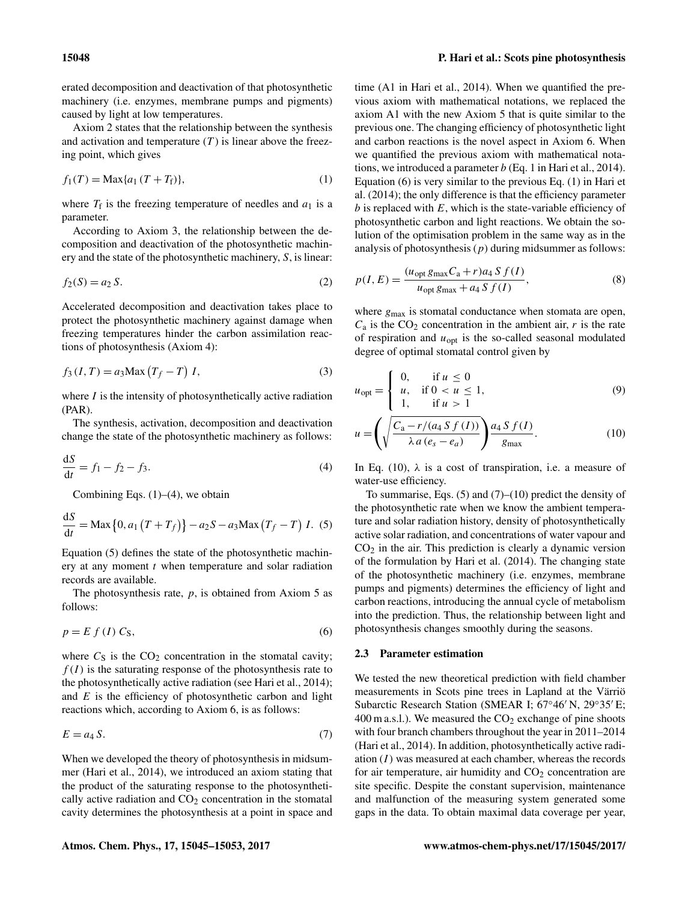erated decomposition and deactivation of that photosynthetic machinery (i.e. enzymes, membrane pumps and pigments) caused by light at low temperatures.

Axiom 2 states that the relationship between the synthesis and activation and temperature  $(T)$  is linear above the freezing point, which gives

$$
f_1(T) = \text{Max}\{a_1 (T + T_f)\},\tag{1}
$$

where  $T_f$  is the freezing temperature of needles and  $a_1$  is a parameter.

According to Axiom 3, the relationship between the decomposition and deactivation of the photosynthetic machinery and the state of the photosynthetic machinery, S, is linear:

$$
f_2(S) = a_2 S. \tag{2}
$$

Accelerated decomposition and deactivation takes place to protect the photosynthetic machinery against damage when freezing temperatures hinder the carbon assimilation reactions of photosynthesis (Axiom 4):

$$
f_3(I, T) = a_3 \text{Max} (T_f - T) I,
$$
 (3)

where  $I$  is the intensity of photosynthetically active radiation (PAR).

The synthesis, activation, decomposition and deactivation change the state of the photosynthetic machinery as follows:

$$
\frac{\mathrm{d}S}{\mathrm{d}t} = f_1 - f_2 - f_3. \tag{4}
$$

Combining Eqs.  $(1)$ – $(4)$ , we obtain

$$
\frac{dS}{dt} = \text{Max} \{ 0, a_1 (T + T_f) \} - a_2 S - a_3 \text{Max} (T_f - T) I. (5)
$$

Equation (5) defines the state of the photosynthetic machinery at any moment  $t$  when temperature and solar radiation records are available.

The photosynthesis rate,  $p$ , is obtained from Axiom 5 as follows:

$$
p = E f(I) CS, \t\t(6)
$$

where  $C_S$  is the  $CO_2$  concentration in the stomatal cavity;  $f(I)$  is the saturating response of the photosynthesis rate to the photosynthetically active radiation (see Hari et al., 2014); and  $E$  is the efficiency of photosynthetic carbon and light reactions which, according to Axiom 6, is as follows:

$$
E = a_4 S. \tag{7}
$$

When we developed the theory of photosynthesis in midsummer (Hari et al., 2014), we introduced an axiom stating that the product of the saturating response to the photosynthetically active radiation and  $CO<sub>2</sub>$  concentration in the stomatal cavity determines the photosynthesis at a point in space and time (A1 in Hari et al., 2014). When we quantified the previous axiom with mathematical notations, we replaced the axiom A1 with the new Axiom 5 that is quite similar to the previous one. The changing efficiency of photosynthetic light and carbon reactions is the novel aspect in Axiom 6. When we quantified the previous axiom with mathematical notations, we introduced a parameter b (Eq. 1 in Hari et al., 2014). Equation (6) is very similar to the previous Eq. (1) in Hari et al. (2014); the only difference is that the efficiency parameter  $b$  is replaced with  $E$ , which is the state-variable efficiency of photosynthetic carbon and light reactions. We obtain the solution of the optimisation problem in the same way as in the analysis of photosynthesis  $(p)$  during midsummer as follows:

$$
p(I, E) = \frac{(u_{\text{opt}} g_{\text{max}} C_a + r) a_4 S f(I)}{u_{\text{opt}} g_{\text{max}} + a_4 S f(I)},
$$
\n(8)

where  $g_{\text{max}}$  is stomatal conductance when stomata are open,  $C_a$  is the CO<sub>2</sub> concentration in the ambient air, r is the rate of respiration and  $u_{\text{opt}}$  is the so-called seasonal modulated degree of optimal stomatal control given by

$$
u_{\text{opt}} = \begin{cases} 0, & \text{if } u \le 0 \\ u, & \text{if } 0 < u \le 1, \\ 1, & \text{if } u > 1 \end{cases}
$$
 (9)

$$
u = \left(\sqrt{\frac{C_a - r/(a_4 S f(I))}{\lambda a (e_s - e_a)}}\right) \frac{a_4 S f(I)}{g_{\text{max}}}.
$$
 (10)

In Eq. (10),  $\lambda$  is a cost of transpiration, i.e. a measure of water-use efficiency.

To summarise, Eqs. (5) and (7)–(10) predict the density of the photosynthetic rate when we know the ambient temperature and solar radiation history, density of photosynthetically active solar radiation, and concentrations of water vapour and  $CO<sub>2</sub>$  in the air. This prediction is clearly a dynamic version of the formulation by Hari et al. (2014). The changing state of the photosynthetic machinery (i.e. enzymes, membrane pumps and pigments) determines the efficiency of light and carbon reactions, introducing the annual cycle of metabolism into the prediction. Thus, the relationship between light and photosynthesis changes smoothly during the seasons.

#### 2.3 Parameter estimation

We tested the new theoretical prediction with field chamber measurements in Scots pine trees in Lapland at the Värriö Subarctic Research Station (SMEAR I;  $67°46'$  N,  $29°35'E$ ; 400 m a.s.l.). We measured the  $CO<sub>2</sub>$  exchange of pine shoots with four branch chambers throughout the year in 2011–2014 (Hari et al., 2014). In addition, photosynthetically active radiation  $(I)$  was measured at each chamber, whereas the records for air temperature, air humidity and  $CO<sub>2</sub>$  concentration are site specific. Despite the constant supervision, maintenance and malfunction of the measuring system generated some gaps in the data. To obtain maximal data coverage per year,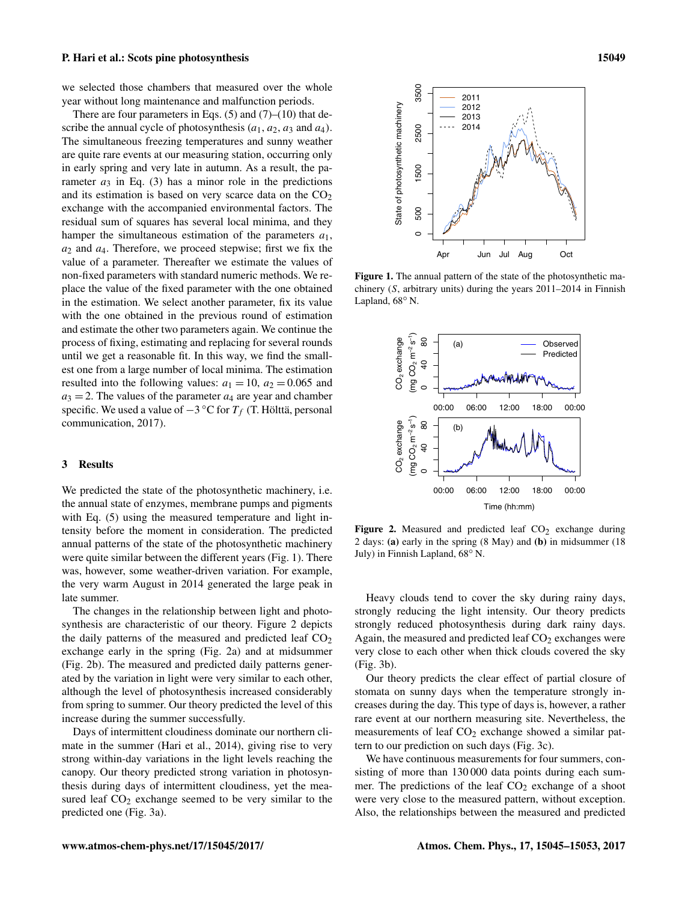we selected those chambers that measured over the whole year without long maintenance and malfunction periods.

There are four parameters in Eqs.  $(5)$  and  $(7)–(10)$  that describe the annual cycle of photosynthesis  $(a_1, a_2, a_3 \text{ and } a_4)$ . The simultaneous freezing temperatures and sunny weather are quite rare events at our measuring station, occurring only in early spring and very late in autumn. As a result, the parameter  $a_3$  in Eq. (3) has a minor role in the predictions and its estimation is based on very scarce data on the  $CO<sub>2</sub>$ exchange with the accompanied environmental factors. The residual sum of squares has several local minima, and they hamper the simultaneous estimation of the parameters  $a_1$ ,  $a_2$  and  $a_4$ . Therefore, we proceed stepwise; first we fix the value of a parameter. Thereafter we estimate the values of non-fixed parameters with standard numeric methods. We replace the value of the fixed parameter with the one obtained in the estimation. We select another parameter, fix its value with the one obtained in the previous round of estimation and estimate the other two parameters again. We continue the process of fixing, estimating and replacing for several rounds until we get a reasonable fit. In this way, we find the smallest one from a large number of local minima. The estimation resulted into the following values:  $a_1 = 10$ ,  $a_2 = 0.065$  and  $a_3 = 2$ . The values of the parameter  $a_4$  are year and chamber specific. We used a value of  $-3$  °C for  $T_f$  (T. Hölttä, personal communication, 2017).

#### 3 Results

We predicted the state of the photosynthetic machinery, i.e. the annual state of enzymes, membrane pumps and pigments with Eq.  $(5)$  using the measured temperature and light intensity before the moment in consideration. The predicted annual patterns of the state of the photosynthetic machinery were quite similar between the different years (Fig. 1). There was, however, some weather-driven variation. For example, the very warm August in 2014 generated the large peak in late summer.

The changes in the relationship between light and photosynthesis are characteristic of our theory. Figure 2 depicts the daily patterns of the measured and predicted leaf  $CO<sub>2</sub>$ exchange early in the spring (Fig. 2a) and at midsummer (Fig. 2b). The measured and predicted daily patterns generated by the variation in light were very similar to each other, although the level of photosynthesis increased considerably from spring to summer. Our theory predicted the level of this increase during the summer successfully.

Days of intermittent cloudiness dominate our northern climate in the summer (Hari et al., 2014), giving rise to very strong within-day variations in the light levels reaching the canopy. Our theory predicted strong variation in photosynthesis during days of intermittent cloudiness, yet the measured leaf  $CO<sub>2</sub>$  exchange seemed to be very similar to the predicted one (Fig. 3a).



Figure 1. The annual pattern of the state of the photosynthetic machinery (S, arbitrary units) during the years 2011–2014 in Finnish Lapland, 68◦ N.



Figure 2. Measured and predicted leaf  $CO<sub>2</sub>$  exchange during 2 days: (a) early in the spring (8 May) and (b) in midsummer (18 July) in Finnish Lapland, 68◦ N.

Heavy clouds tend to cover the sky during rainy days, strongly reducing the light intensity. Our theory predicts strongly reduced photosynthesis during dark rainy days. Again, the measured and predicted leaf  $CO<sub>2</sub>$  exchanges were very close to each other when thick clouds covered the sky (Fig. 3b).

Our theory predicts the clear effect of partial closure of stomata on sunny days when the temperature strongly increases during the day. This type of days is, however, a rather rare event at our northern measuring site. Nevertheless, the measurements of leaf  $CO<sub>2</sub>$  exchange showed a similar pattern to our prediction on such days (Fig. 3c).

We have continuous measurements for four summers, consisting of more than 130 000 data points during each summer. The predictions of the leaf  $CO<sub>2</sub>$  exchange of a shoot were very close to the measured pattern, without exception. Also, the relationships between the measured and predicted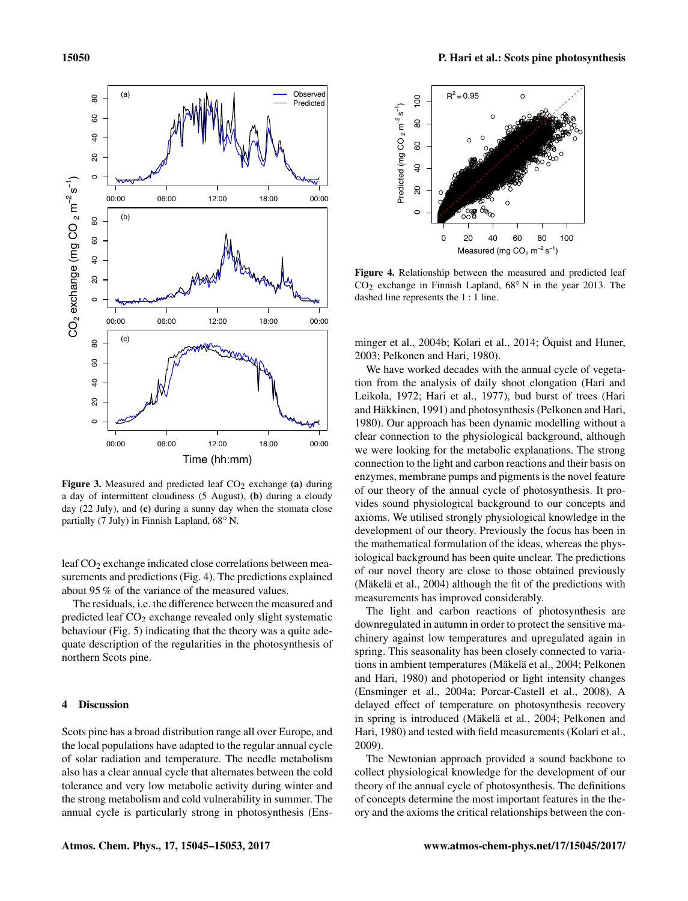

Figure 3. Measured and predicted leaf  $CO<sub>2</sub>$  exchange (a) during a day of intermittent cloudiness (5 August), (b) during a cloudy day  $(22 \text{ July})$ , and  $(c)$  during a sunny day when the stomata close partially (7 July) in Finnish Lapland, 68° N.

leaf CO<sub>2</sub> exchange indicated close correlations between measurements and predictions (Fig. 4). The predictions explained about 95 % of the variance of the measured values.

The residuals, i.e. the difference between the measured and predicted leaf  $CO<sub>2</sub>$  exchange revealed only slight systematic behaviour (Fig. 5) indicating that the theory was a quite adequate description of the regularities in the photosynthesis of northern Scots pine.

#### $\overline{\mathbf{4}}$ **Discussion**

Scots pine has a broad distribution range all over Europe, and the local populations have adapted to the regular annual cycle of solar radiation and temperature. The needle metabolism also has a clear annual cycle that alternates between the cold tolerance and very low metabolic activity during winter and the strong metabolism and cold vulnerability in summer. The annual cycle is particularly strong in photosynthesis (Ens-



Figure 4. Relationship between the measured and predicted leaf  $CO<sub>2</sub>$  exchange in Finnish Lapland,  $68^{\circ}$  N in the year 2013. The dashed line represents the 1:1 line.

minger et al., 2004b; Kolari et al., 2014; Öquist and Huner, 2003; Pelkonen and Hari, 1980).

We have worked decades with the annual cycle of vegetation from the analysis of daily shoot elongation (Hari and Leikola, 1972; Hari et al., 1977), bud burst of trees (Hari and Häkkinen, 1991) and photosynthesis (Pelkonen and Hari, 1980). Our approach has been dynamic modelling without a clear connection to the physiological background, although we were looking for the metabolic explanations. The strong connection to the light and carbon reactions and their basis on enzymes, membrane pumps and pigments is the novel feature of our theory of the annual cycle of photosynthesis. It provides sound physiological background to our concepts and axioms. We utilised strongly physiological knowledge in the development of our theory. Previously the focus has been in the mathematical formulation of the ideas, whereas the physiological background has been quite unclear. The predictions of our novel theory are close to those obtained previously (Mäkelä et al., 2004) although the fit of the predictions with measurements has improved considerably.

The light and carbon reactions of photosynthesis are downregulated in autumn in order to protect the sensitive machinery against low temperatures and upregulated again in spring. This seasonality has been closely connected to variations in ambient temperatures (Mäkelä et al., 2004; Pelkonen and Hari, 1980) and photoperiod or light intensity changes (Ensminger et al., 2004a; Porcar-Castell et al., 2008). A delayed effect of temperature on photosynthesis recovery in spring is introduced (Mäkelä et al., 2004; Pelkonen and Hari, 1980) and tested with field measurements (Kolari et al., 2009).

The Newtonian approach provided a sound backbone to collect physiological knowledge for the development of our theory of the annual cycle of photosynthesis. The definitions of concepts determine the most important features in the theory and the axioms the critical relationships between the con-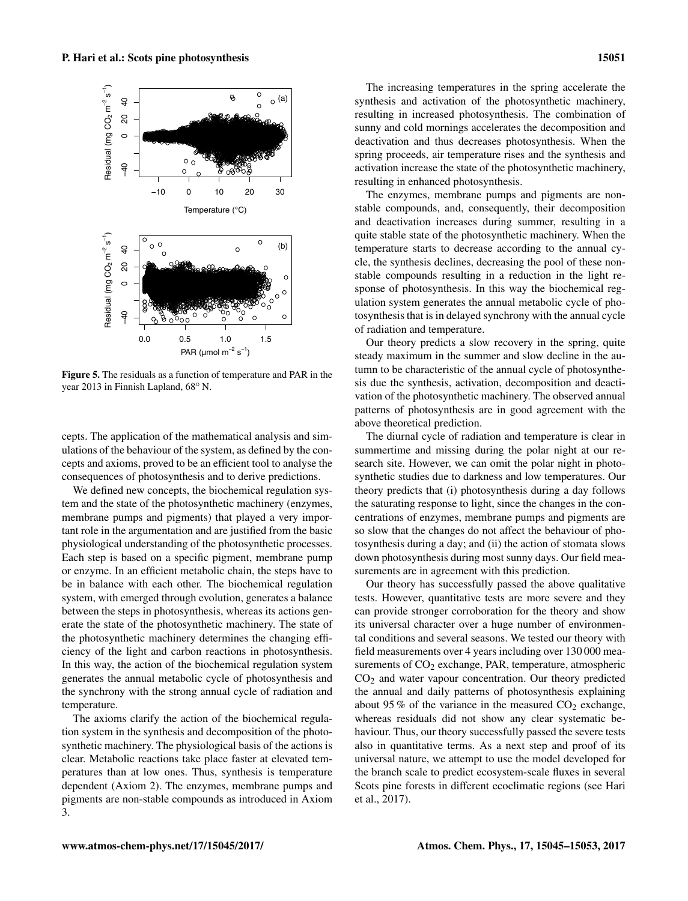

**Figure 5.** The residuals as a function of temperature and PAR in the year 2013 in Finnish Lapland, 68° N.

cepts. The application of the mathematical analysis and simulations of the behaviour of the system, as defined by the concepts and axioms, proved to be an efficient tool to analyse the consequences of photosynthesis and to derive predictions.

We defined new concepts, the biochemical regulation system and the state of the photosynthetic machinery (enzymes, membrane pumps and pigments) that played a very important role in the argumentation and are justified from the basic physiological understanding of the photosynthetic processes. Each step is based on a specific pigment, membrane pump or enzyme. In an efficient metabolic chain, the steps have to be in balance with each other. The biochemical regulation system, with emerged through evolution, generates a balance between the steps in photosynthesis, whereas its actions generate the state of the photosynthetic machinery. The state of the photosynthetic machinery determines the changing efficiency of the light and carbon reactions in photosynthesis. In this way, the action of the biochemical regulation system generates the annual metabolic cycle of photosynthesis and the synchrony with the strong annual cycle of radiation and temperature.

The axioms clarify the action of the biochemical regulation system in the synthesis and decomposition of the photosynthetic machinery. The physiological basis of the actions is clear. Metabolic reactions take place faster at elevated temperatures than at low ones. Thus, synthesis is temperature dependent (Axiom 2). The enzymes, membrane pumps and pigments are non-stable compounds as introduced in Axiom 3.

The increasing temperatures in the spring accelerate the synthesis and activation of the photosynthetic machinery, resulting in increased photosynthesis. The combination of sunny and cold mornings accelerates the decomposition and deactivation and thus decreases photosynthesis. When the spring proceeds, air temperature rises and the synthesis and activation increase the state of the photosynthetic machinery, resulting in enhanced photosynthesis.

The enzymes, membrane pumps and pigments are nonstable compounds, and, consequently, their decomposition and deactivation increases during summer, resulting in a quite stable state of the photosynthetic machinery. When the temperature starts to decrease according to the annual cycle, the synthesis declines, decreasing the pool of these nonstable compounds resulting in a reduction in the light response of photosynthesis. In this way the biochemical regulation system generates the annual metabolic cycle of photo synthesis that is in delayed synchrony with the annual cycle of radiation and temperature.

Our theory predicts a slow recovery in the spring, quite steady maximum in the summer and slow decline in the autumn to be characteristic of the annual cycle of photosynthesis due the synthesis, activation, decomposition and deactivation of the photosynthetic machinery. The observed annual patterns of photosynthesis are in good agreement with the above theoretical prediction.

The diurnal cycle of radiation and temperature is clear in summertime and missing during the polar night at our research site. However, we can omit the polar night in photosynthetic studies due to darkness and low temperatures. Our theory predicts that (i) photosynthesis during a day follows the saturating response to light, since the changes in the concentrations of enzymes, membrane pumps and pigments are so slow that the changes do not affect the behaviour of photosynthesis during a day; and (ii) the action of stomata slows down photosynthesis during most sunny days. Our field measurements are in agreement with this prediction.

Our theory has successfully passed the above qualitative tests. However, quantitative tests are more severe and they can provide stronger corroboration for the theory and show its universal character over a huge number of environmental conditions and several seasons. We tested our theory with field measurements over 4 years including over 130 000 measurements of  $CO<sub>2</sub>$  exchange, PAR, temperature, atmospheric  $CO<sub>2</sub>$  and water vapour concentration. Our theory predicted the annual and daily patterns of photosynthesis explaining about 95 % of the variance in the measured  $CO<sub>2</sub>$  exchange, whereas residuals did not show any clear systematic behaviour. Thus, our theory successfully passed the severe tests also in quantitative terms. As a next step and proof of its universal nature, we attempt to use the model developed for the branch scale to predict ecosystem-scale fluxes in several Scots pine forests in different ecoclimatic regions (see Hari et al., 2017).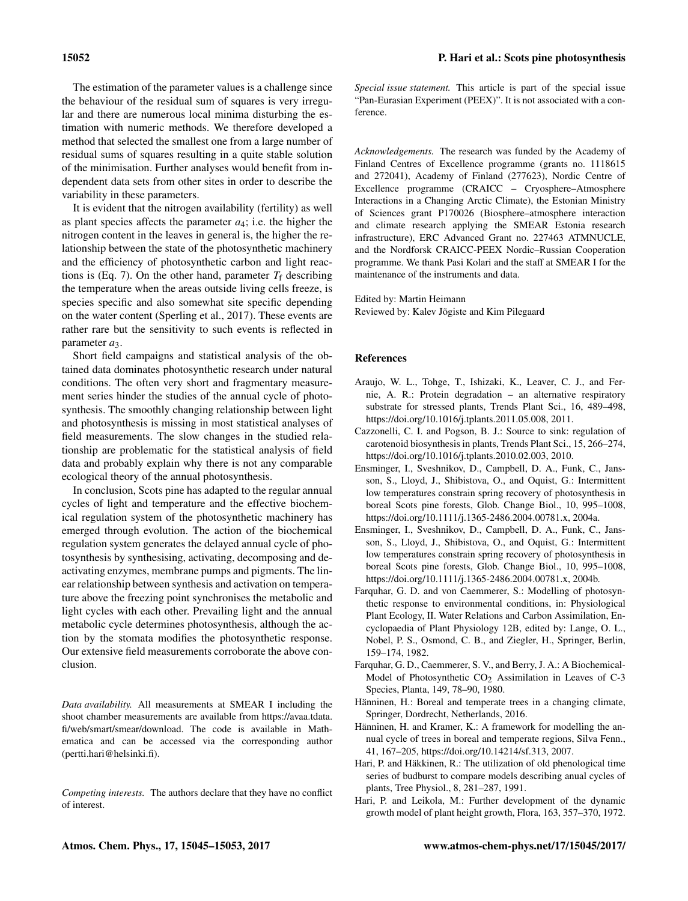The estimation of the parameter values is a challenge since the behaviour of the residual sum of squares is very irregular and there are numerous local minima disturbing the estimation with numeric methods. We therefore developed a method that selected the smallest one from a large number of residual sums of squares resulting in a quite stable solution of the minimisation. Further analyses would benefit from independent data sets from other sites in order to describe the variability in these parameters.

It is evident that the nitrogen availability (fertility) as well as plant species affects the parameter  $a_4$ ; i.e. the higher the nitrogen content in the leaves in general is, the higher the relationship between the state of the photosynthetic machinery and the efficiency of photosynthetic carbon and light reactions is (Eq. 7). On the other hand, parameter  $T_f$  describing the temperature when the areas outside living cells freeze, is species specific and also somewhat site specific depending on the water content (Sperling et al., 2017). These events are rather rare but the sensitivity to such events is reflected in parameter  $a_3$ .

Short field campaigns and statistical analysis of the obtained data dominates photosynthetic research under natural conditions. The often very short and fragmentary measurement series hinder the studies of the annual cycle of photosynthesis. The smoothly changing relationship between light and photosynthesis is missing in most statistical analyses of field measurements. The slow changes in the studied relationship are problematic for the statistical analysis of field data and probably explain why there is not any comparable ecological theory of the annual photosynthesis.

In conclusion, Scots pine has adapted to the regular annual cycles of light and temperature and the effective biochemical regulation system of the photosynthetic machinery has emerged through evolution. The action of the biochemical regulation system generates the delayed annual cycle of photosynthesis by synthesising, activating, decomposing and deactivating enzymes, membrane pumps and pigments. The linear relationship between synthesis and activation on temperature above the freezing point synchronises the metabolic and light cycles with each other. Prevailing light and the annual metabolic cycle determines photosynthesis, although the action by the stomata modifies the photosynthetic response. Our extensive field measurements corroborate the above conclusion.

*Data availability.* All measurements at SMEAR I including the shoot chamber measurements are available from [https://avaa.tdata.](https://avaa.tdata.fi/web/smart/smear/download) [fi/web/smart/smear/download.](https://avaa.tdata.fi/web/smart/smear/download) The code is available in Mathematica and can be accessed via the corresponding author (pertti.hari@helsinki.fi).

*Competing interests.* The authors declare that they have no conflict of interest.

*Special issue statement.* This article is part of the special issue "Pan-Eurasian Experiment (PEEX)". It is not associated with a conference.

*Acknowledgements.* The research was funded by the Academy of Finland Centres of Excellence programme (grants no. 1118615 and 272041), Academy of Finland (277623), Nordic Centre of Excellence programme (CRAICC – Cryosphere–Atmosphere Interactions in a Changing Arctic Climate), the Estonian Ministry of Sciences grant P170026 (Biosphere–atmosphere interaction and climate research applying the SMEAR Estonia research infrastructure), ERC Advanced Grant no. 227463 ATMNUCLE, and the Nordforsk CRAICC-PEEX Nordic–Russian Cooperation programme. We thank Pasi Kolari and the staff at SMEAR I for the maintenance of the instruments and data.

Edited by: Martin Heimann Reviewed by: Kalev Jõgiste and Kim Pilegaard

#### References

- Araujo, W. L., Tohge, T., Ishizaki, K., Leaver, C. J., and Fernie, A. R.: Protein degradation – an alternative respiratory substrate for stressed plants, Trends Plant Sci., 16, 489–498, https://doi.org[/10.1016/j.tplants.2011.05.008,](https://doi.org/10.1016/j.tplants.2011.05.008) 2011.
- Cazzonelli, C. I. and Pogson, B. J.: Source to sink: regulation of carotenoid biosynthesis in plants, Trends Plant Sci., 15, 266–274, https://doi.org[/10.1016/j.tplants.2010.02.003,](https://doi.org/10.1016/j.tplants.2010.02.003) 2010.
- Ensminger, I., Sveshnikov, D., Campbell, D. A., Funk, C., Jansson, S., Lloyd, J., Shibistova, O., and Oquist, G.: Intermittent low temperatures constrain spring recovery of photosynthesis in boreal Scots pine forests, Glob. Change Biol., 10, 995–1008, https://doi.org[/10.1111/j.1365-2486.2004.00781.x,](https://doi.org/10.1111/j.1365-2486.2004.00781.x) 2004a.
- Ensminger, I., Sveshnikov, D., Campbell, D. A., Funk, C., Jansson, S., Lloyd, J., Shibistova, O., and Oquist, G.: Intermittent low temperatures constrain spring recovery of photosynthesis in boreal Scots pine forests, Glob. Change Biol., 10, 995–1008, https://doi.org[/10.1111/j.1365-2486.2004.00781.x,](https://doi.org/10.1111/j.1365-2486.2004.00781.x) 2004b.
- Farquhar, G. D. and von Caemmerer, S.: Modelling of photosynthetic response to environmental conditions, in: Physiological Plant Ecology, II. Water Relations and Carbon Assimilation, Encyclopaedia of Plant Physiology 12B, edited by: Lange, O. L., Nobel, P. S., Osmond, C. B., and Ziegler, H., Springer, Berlin, 159–174, 1982.
- Farquhar, G. D., Caemmerer, S. V., and Berry, J. A.: A Biochemical-Model of Photosynthetic  $CO<sub>2</sub>$  Assimilation in Leaves of C-3 Species, Planta, 149, 78–90, 1980.
- Hänninen, H.: Boreal and temperate trees in a changing climate, Springer, Dordrecht, Netherlands, 2016.
- Hänninen, H. and Kramer, K.: A framework for modelling the annual cycle of trees in boreal and temperate regions, Silva Fenn., 41, 167–205, https://doi.org[/10.14214/sf.313,](https://doi.org/10.14214/sf.313) 2007.
- Hari, P. and Häkkinen, R.: The utilization of old phenological time series of budburst to compare models describing anual cycles of plants, Tree Physiol., 8, 281–287, 1991.
- Hari, P. and Leikola, M.: Further development of the dynamic growth model of plant height growth, Flora, 163, 357–370, 1972.